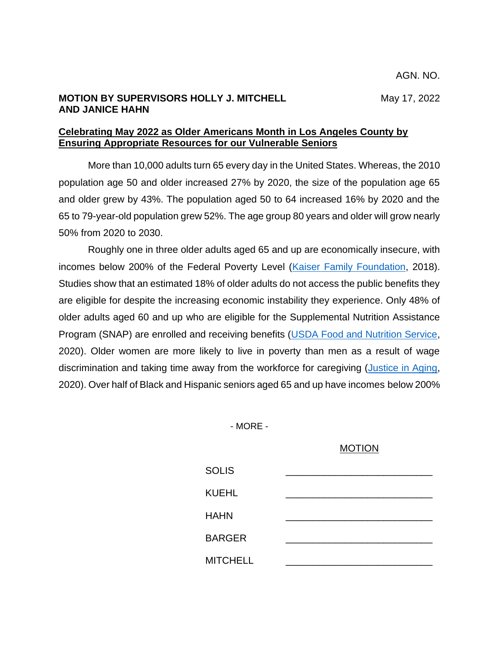## **MOTION BY SUPERVISORS HOLLY J. MITCHELL** May 17, 2022 **AND JANICE HAHN**

## **Celebrating May 2022 as Older Americans Month in Los Angeles County by Ensuring Appropriate Resources for our Vulnerable Seniors**

More than 10,000 adults turn 65 every day in the United States. Whereas, the 2010 population age 50 and older increased 27% by 2020, the size of the population age 65 and older grew by 43%. The population aged 50 to 64 increased 16% by 2020 and the 65 to 79-year-old population grew 52%. The age group 80 years and older will grow nearly 50% from 2020 to 2030.

Roughly one in three older adults aged 65 and up are economically insecure, with incomes below 200% of the Federal Poverty Level [\(Kaiser Family Foundation,](http://files.kff.org/attachment/Issue-Brief-How-Many-Seniors-Live-in-Poverty) 2018). Studies show that an estimated 18% of older adults do not access the public benefits they are eligible for despite the increasing economic instability they experience. Only 48% of older adults aged 60 and up who are eligible for the Supplemental Nutrition Assistance Program (SNAP) are enrolled and receiving benefits [\(USDA Food and Nutrition Service,](https://www.fns.usda.gov/snap/trends-supplemental-nutrition-assistance-program-participation-rates-fiscal-year-2010) 2020). Older women are more likely to live in poverty than men as a result of wage discrimination and taking time away from the workforce for caregiving [\(Justice in Aging,](https://justiceinaging.org/wp-content/uploads/2020/08/Older-Women-and-Poverty.pdf) 2020). Over half of Black and Hispanic seniors aged 65 and up have incomes below 200%

- MORE -

## MOTION

| <b>SOLIS</b>    |  |
|-----------------|--|
| <b>KUEHL</b>    |  |
| <b>HAHN</b>     |  |
| <b>BARGER</b>   |  |
| <b>MITCHELL</b> |  |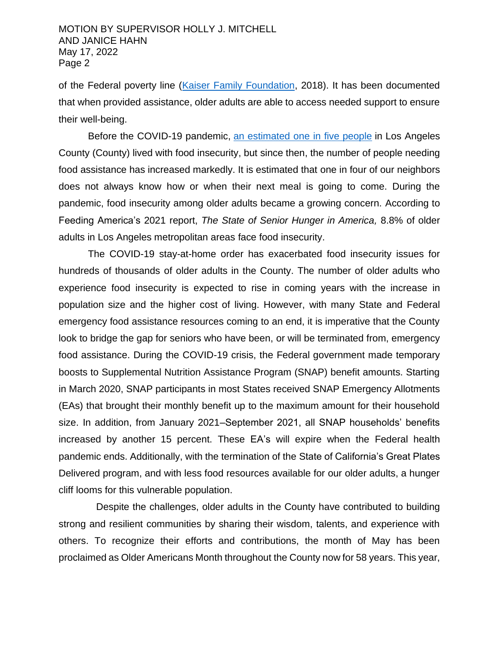of the Federal poverty line [\(Kaiser Family Foundation,](https://www.kff.org/report-section/how-many-seniors-live-in-poverty-issue-brief/) 2018). It has been documented that when provided assistance, older adults are able to access needed support to ensure their well-being.

Before the COVID-19 pandemic, [an estimated one](https://www.lafoodbank.org/wp-content/uploads/FoodInsecurity-Factsheet-2019-UCLA.pdf) in five people in Los Angeles County (County) lived with food insecurity, but since then, the number of people needing food assistance has increased markedly. It is estimated that one in four of our neighbors does not always know how or when their next meal is going to come. During the pandemic, food insecurity among older adults became a growing concern. According to Feeding America's 2021 report, *The State of Senior Hunger in America,* 8.8% of older adults in Los Angeles metropolitan areas face food insecurity.

The COVID-19 stay-at-home order has exacerbated food insecurity issues for hundreds of thousands of older adults in the County. The number of older adults who experience food insecurity is expected to rise in coming years with the increase in population size and the higher cost of living. However, with many State and Federal emergency food assistance resources coming to an end, it is imperative that the County look to bridge the gap for seniors who have been, or will be terminated from, emergency food assistance. During the COVID-19 crisis, the Federal government made temporary boosts to Supplemental Nutrition Assistance Program (SNAP) benefit amounts. Starting in March 2020, SNAP participants in most States received SNAP Emergency Allotments (EAs) that brought their monthly benefit up to the maximum amount for their household size. In addition, from January 2021–September 2021, all SNAP households' benefits increased by another 15 percent. These EA's will expire when the Federal health pandemic ends. Additionally, with the termination of the State of California's Great Plates Delivered program, and with less food resources available for our older adults, a hunger cliff looms for this vulnerable population.

 Despite the challenges, older adults in the County have contributed to building strong and resilient communities by sharing their wisdom, talents, and experience with others. To recognize their efforts and contributions, the month of May has been proclaimed as Older Americans Month throughout the County now for 58 years. This year,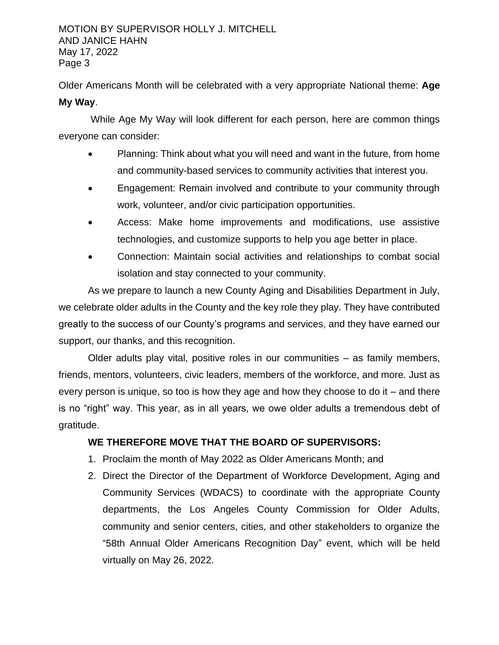MOTION BY SUPERVISOR HOLLY J. MITCHELL AND JANICE HAHN May 17, 2022 Page 3

Older Americans Month will be celebrated with a very appropriate National theme: **Age My Way**.

While Age My Way will look different for each person, here are common things everyone can consider:

- Planning: Think about what you will need and want in the future, from home and community-based services to community activities that interest you.
- Engagement: Remain involved and contribute to your community through work, volunteer, and/or civic participation opportunities.
- Access: Make home improvements and modifications, use assistive technologies, and customize supports to help you age better in place.
- Connection: Maintain social activities and relationships to combat social isolation and stay connected to your community.

As we prepare to launch a new County Aging and Disabilities Department in July, we celebrate older adults in the County and the key role they play. They have contributed greatly to the success of our County's programs and services, and they have earned our support, our thanks, and this recognition.

Older adults play vital, positive roles in our communities – as family members, friends, mentors, volunteers, civic leaders, members of the workforce, and more. Just as every person is unique, so too is how they age and how they choose to do it – and there is no "right" way. This year, as in all years, we owe older adults a tremendous debt of gratitude.

## **WE THEREFORE MOVE THAT THE BOARD OF SUPERVISORS:**

- 1. Proclaim the month of May 2022 as Older Americans Month; and
- 2. Direct the Director of the Department of Workforce Development, Aging and Community Services (WDACS) to coordinate with the appropriate County departments, the Los Angeles County Commission for Older Adults, community and senior centers, cities, and other stakeholders to organize the "58th Annual Older Americans Recognition Day" event, which will be held virtually on May 26, 2022.